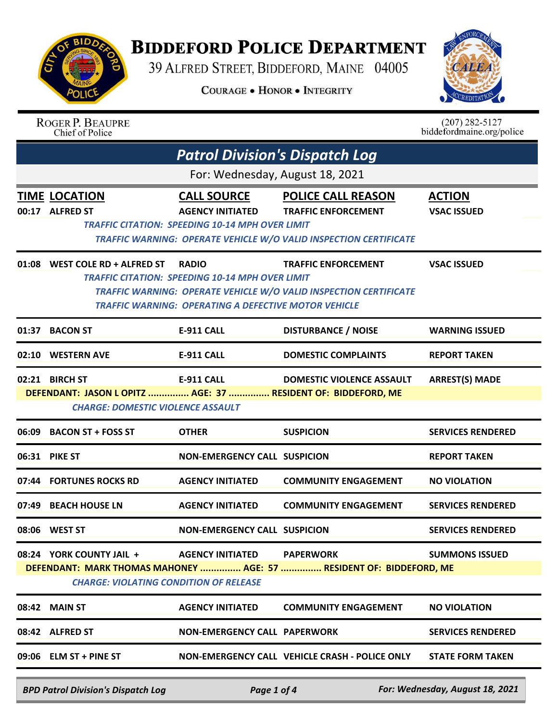

## **BIDDEFORD POLICE DEPARTMENT**

39 ALFRED STREET, BIDDEFORD, MAINE 04005

**COURAGE . HONOR . INTEGRITY** 



|                                                                                                                                                                                                                          | <b>ROGER P. BEAUPRE</b><br>Chief of Police                                     |                                                                                                                                       |                                                                                                                              | $(207)$ 282-5127<br>biddefordmaine.org/police |  |
|--------------------------------------------------------------------------------------------------------------------------------------------------------------------------------------------------------------------------|--------------------------------------------------------------------------------|---------------------------------------------------------------------------------------------------------------------------------------|------------------------------------------------------------------------------------------------------------------------------|-----------------------------------------------|--|
|                                                                                                                                                                                                                          | <b>Patrol Division's Dispatch Log</b>                                          |                                                                                                                                       |                                                                                                                              |                                               |  |
|                                                                                                                                                                                                                          |                                                                                | For: Wednesday, August 18, 2021                                                                                                       |                                                                                                                              |                                               |  |
|                                                                                                                                                                                                                          | <b>TIME LOCATION</b><br>00:17 ALFRED ST                                        | <b>CALL SOURCE</b><br><b>AGENCY INITIATED</b><br><b>TRAFFIC CITATION: SPEEDING 10-14 MPH OVER LIMIT</b>                               | <b>POLICE CALL REASON</b><br><b>TRAFFIC ENFORCEMENT</b><br>TRAFFIC WARNING: OPERATE VEHICLE W/O VALID INSPECTION CERTIFICATE | <b>ACTION</b><br><b>VSAC ISSUED</b>           |  |
|                                                                                                                                                                                                                          | 01:08 WEST COLE RD + ALFRED ST                                                 | <b>RADIO</b><br><b>TRAFFIC CITATION: SPEEDING 10-14 MPH OVER LIMIT</b><br><b>TRAFFIC WARNING: OPERATING A DEFECTIVE MOTOR VEHICLE</b> | <b>TRAFFIC ENFORCEMENT</b><br>TRAFFIC WARNING: OPERATE VEHICLE W/O VALID INSPECTION CERTIFICATE                              | <b>VSAC ISSUED</b>                            |  |
| 01:37                                                                                                                                                                                                                    | <b>BACON ST</b>                                                                | <b>E-911 CALL</b>                                                                                                                     | <b>DISTURBANCE / NOISE</b>                                                                                                   | <b>WARNING ISSUED</b>                         |  |
| 02:10                                                                                                                                                                                                                    | <b>WESTERN AVE</b>                                                             | <b>E-911 CALL</b>                                                                                                                     | <b>DOMESTIC COMPLAINTS</b>                                                                                                   | <b>REPORT TAKEN</b>                           |  |
|                                                                                                                                                                                                                          | 02:21 BIRCH ST<br>DEFENDANT: JASON LOPITZ  AGE: 37  RESIDENT OF: BIDDEFORD, ME | <b>E-911 CALL</b>                                                                                                                     | <b>DOMESTIC VIOLENCE ASSAULT</b>                                                                                             | <b>ARREST(S) MADE</b>                         |  |
|                                                                                                                                                                                                                          | <b>CHARGE: DOMESTIC VIOLENCE ASSAULT</b>                                       |                                                                                                                                       |                                                                                                                              |                                               |  |
| 06:09                                                                                                                                                                                                                    | <b>BACON ST + FOSS ST</b>                                                      | <b>OTHER</b>                                                                                                                          | <b>SUSPICION</b>                                                                                                             | <b>SERVICES RENDERED</b>                      |  |
|                                                                                                                                                                                                                          | 06:31 PIKE ST                                                                  | <b>NON-EMERGENCY CALL SUSPICION</b>                                                                                                   |                                                                                                                              | <b>REPORT TAKEN</b>                           |  |
|                                                                                                                                                                                                                          | 07:44 FORTUNES ROCKS RD                                                        | <b>AGENCY INITIATED</b>                                                                                                               | <b>COMMUNITY ENGAGEMENT</b>                                                                                                  | <b>NO VIOLATION</b>                           |  |
| 07:49                                                                                                                                                                                                                    | <b>BEACH HOUSE LN</b>                                                          | <b>AGENCY INITIATED</b>                                                                                                               | <b>COMMUNITY ENGAGEMENT</b>                                                                                                  | <b>SERVICES RENDERED</b>                      |  |
|                                                                                                                                                                                                                          | 08:06 WEST ST                                                                  | <b>NON-EMERGENCY CALL SUSPICION</b>                                                                                                   |                                                                                                                              | <b>SERVICES RENDERED</b>                      |  |
| 08:24 YORK COUNTY JAIL +<br><b>AGENCY INITIATED</b><br><b>PAPERWORK</b><br><b>SUMMONS ISSUED</b><br>DEFENDANT: MARK THOMAS MAHONEY  AGE: 57  RESIDENT OF: BIDDEFORD, ME<br><b>CHARGE: VIOLATING CONDITION OF RELEASE</b> |                                                                                |                                                                                                                                       |                                                                                                                              |                                               |  |
|                                                                                                                                                                                                                          | 08:42 MAIN ST                                                                  | <b>AGENCY INITIATED</b>                                                                                                               | <b>COMMUNITY ENGAGEMENT</b>                                                                                                  | <b>NO VIOLATION</b>                           |  |
|                                                                                                                                                                                                                          | 08:42 ALFRED ST                                                                | <b>NON-EMERGENCY CALL PAPERWORK</b>                                                                                                   |                                                                                                                              | <b>SERVICES RENDERED</b>                      |  |
|                                                                                                                                                                                                                          | $09:06$ ELM ST + PINE ST                                                       |                                                                                                                                       | NON-EMERGENCY CALL VEHICLE CRASH - POLICE ONLY                                                                               | <b>STATE FORM TAKEN</b>                       |  |
|                                                                                                                                                                                                                          |                                                                                |                                                                                                                                       |                                                                                                                              |                                               |  |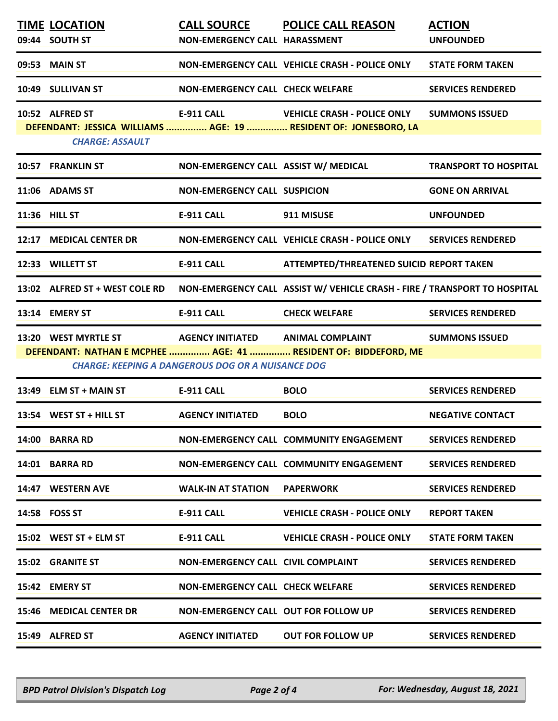|                                                                                                                             | <b>TIME LOCATION</b>                                          |                                             | <b>CALL SOURCE POLICE CALL REASON</b>                                                                      | <b>ACTION</b>                |  |
|-----------------------------------------------------------------------------------------------------------------------------|---------------------------------------------------------------|---------------------------------------------|------------------------------------------------------------------------------------------------------------|------------------------------|--|
|                                                                                                                             | 09:44 SOUTH ST                                                | NON-EMERGENCY CALL HARASSMENT               |                                                                                                            | <b>UNFOUNDED</b>             |  |
|                                                                                                                             | 09:53 MAIN ST                                                 |                                             | NON-EMERGENCY CALL VEHICLE CRASH - POLICE ONLY                                                             | <b>STATE FORM TAKEN</b>      |  |
|                                                                                                                             | 10:49 SULLIVAN ST                                             | <b>NON-EMERGENCY CALL CHECK WELFARE</b>     |                                                                                                            | <b>SERVICES RENDERED</b>     |  |
|                                                                                                                             | 10:52 ALFRED ST                                               |                                             | E-911 CALL VEHICLE CRASH - POLICE ONLY<br>DEFENDANT: JESSICA WILLIAMS  AGE: 19  RESIDENT OF: JONESBORO, LA | <b>SUMMONS ISSUED</b>        |  |
|                                                                                                                             | <b>CHARGE: ASSAULT</b>                                        |                                             |                                                                                                            |                              |  |
|                                                                                                                             | 10:57 FRANKLIN ST                                             | NON-EMERGENCY CALL ASSIST W/ MEDICAL        |                                                                                                            | <b>TRANSPORT TO HOSPITAL</b> |  |
|                                                                                                                             | 11:06 ADAMS ST                                                | <b>NON-EMERGENCY CALL SUSPICION</b>         |                                                                                                            | <b>GONE ON ARRIVAL</b>       |  |
|                                                                                                                             | 11:36 HILL ST                                                 | <b>E-911 CALL</b>                           | 911 MISUSE                                                                                                 | <b>UNFOUNDED</b>             |  |
|                                                                                                                             | 12:17 MEDICAL CENTER DR                                       |                                             | NON-EMERGENCY CALL VEHICLE CRASH - POLICE ONLY SERVICES RENDERED                                           |                              |  |
|                                                                                                                             | 12:33 WILLETT ST                                              | E-911 CALL                                  | ATTEMPTED/THREATENED SUICID REPORT TAKEN                                                                   |                              |  |
|                                                                                                                             | 13:02 ALFRED ST + WEST COLE RD                                |                                             | NON-EMERGENCY CALL ASSIST W/ VEHICLE CRASH - FIRE / TRANSPORT TO HOSPITAL                                  |                              |  |
|                                                                                                                             | 13:14 EMERY ST                                                | <b>E-911 CALL</b>                           | <b>CHECK WELFARE</b>                                                                                       | <b>SERVICES RENDERED</b>     |  |
|                                                                                                                             | 13:20 WEST MYRTLE ST <b>AGENCY INITIATED</b> ANIMAL COMPLAINT |                                             |                                                                                                            | <b>SUMMONS ISSUED</b>        |  |
| DEFENDANT: NATHAN E MCPHEE  AGE: 41  RESIDENT OF: BIDDEFORD, ME<br><b>CHARGE: KEEPING A DANGEROUS DOG OR A NUISANCE DOG</b> |                                                               |                                             |                                                                                                            |                              |  |
|                                                                                                                             | 13:49 ELM ST + MAIN ST                                        | E-911 CALL                                  | <b>BOLO</b>                                                                                                | <b>SERVICES RENDERED</b>     |  |
|                                                                                                                             | 13:54 WEST ST + HILL ST                                       | <b>AGENCY INITIATED</b>                     | <b>BOLO</b>                                                                                                | <b>NEGATIVE CONTACT</b>      |  |
|                                                                                                                             | 14:00 BARRA RD                                                |                                             | NON-EMERGENCY CALL COMMUNITY ENGAGEMENT                                                                    | <b>SERVICES RENDERED</b>     |  |
|                                                                                                                             | 14:01 BARRA RD                                                |                                             | NON-EMERGENCY CALL COMMUNITY ENGAGEMENT                                                                    | <b>SERVICES RENDERED</b>     |  |
|                                                                                                                             | 14:47 WESTERN AVE                                             | <b>WALK-IN AT STATION</b>                   | <b>PAPERWORK</b>                                                                                           | <b>SERVICES RENDERED</b>     |  |
|                                                                                                                             | 14:58 FOSS ST                                                 | E-911 CALL                                  | <b>VEHICLE CRASH - POLICE ONLY</b>                                                                         | <b>REPORT TAKEN</b>          |  |
|                                                                                                                             | 15:02 WEST ST + ELM ST                                        | <b>E-911 CALL</b>                           | <b>VEHICLE CRASH - POLICE ONLY</b>                                                                         | <b>STATE FORM TAKEN</b>      |  |
|                                                                                                                             | <b>15:02 GRANITE ST</b>                                       | NON-EMERGENCY CALL CIVIL COMPLAINT          |                                                                                                            | <b>SERVICES RENDERED</b>     |  |
|                                                                                                                             | 15:42 EMERY ST                                                | <b>NON-EMERGENCY CALL CHECK WELFARE</b>     |                                                                                                            | <b>SERVICES RENDERED</b>     |  |
|                                                                                                                             | 15:46 MEDICAL CENTER DR                                       | <b>NON-EMERGENCY CALL OUT FOR FOLLOW UP</b> |                                                                                                            | <b>SERVICES RENDERED</b>     |  |
|                                                                                                                             | 15:49 ALFRED ST                                               | <b>AGENCY INITIATED</b>                     | <b>OUT FOR FOLLOW UP</b>                                                                                   | <b>SERVICES RENDERED</b>     |  |
|                                                                                                                             |                                                               |                                             |                                                                                                            |                              |  |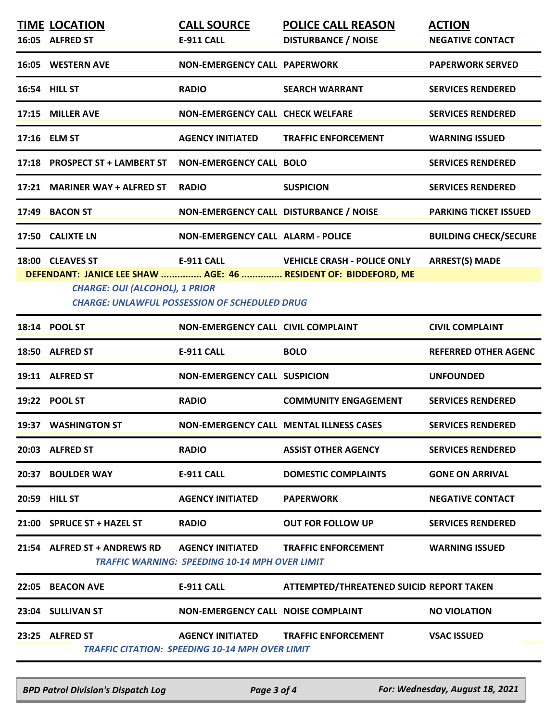|       | <b>TIME LOCATION</b><br>16:05 ALFRED ST                   | <b>CALL SOURCE</b><br>E-911 CALL                                                  | <b>POLICE CALL REASON</b><br><b>DISTURBANCE / NOISE</b>                                               | <b>ACTION</b><br><b>NEGATIVE CONTACT</b> |
|-------|-----------------------------------------------------------|-----------------------------------------------------------------------------------|-------------------------------------------------------------------------------------------------------|------------------------------------------|
|       | 16:05 WESTERN AVE                                         | <b>NON-EMERGENCY CALL PAPERWORK</b>                                               |                                                                                                       | <b>PAPERWORK SERVED</b>                  |
|       | 16:54 HILL ST                                             | <b>RADIO</b>                                                                      | <b>SEARCH WARRANT</b>                                                                                 | <b>SERVICES RENDERED</b>                 |
|       | 17:15 MILLER AVE                                          | <b>NON-EMERGENCY CALL CHECK WELFARE</b>                                           |                                                                                                       | <b>SERVICES RENDERED</b>                 |
|       | 17:16 ELM ST                                              | <b>AGENCY INITIATED</b>                                                           | <b>TRAFFIC ENFORCEMENT</b>                                                                            | <b>WARNING ISSUED</b>                    |
| 17:18 | <b>PROSPECT ST + LAMBERT ST</b>                           | <b>NON-EMERGENCY CALL BOLO</b>                                                    |                                                                                                       | <b>SERVICES RENDERED</b>                 |
|       | 17:21 MARINER WAY + ALFRED ST                             | <b>RADIO</b>                                                                      | <b>SUSPICION</b>                                                                                      | <b>SERVICES RENDERED</b>                 |
|       | 17:49 BACON ST                                            | NON-EMERGENCY CALL DISTURBANCE / NOISE                                            |                                                                                                       | <b>PARKING TICKET ISSUED</b>             |
|       | 17:50 CALIXTE LN                                          | <b>NON-EMERGENCY CALL ALARM - POLICE</b>                                          |                                                                                                       | <b>BUILDING CHECK/SECURE</b>             |
|       | 18:00 CLEAVES ST<br><b>CHARGE: OUI (ALCOHOL), 1 PRIOR</b> | <b>E-911 CALL</b><br><b>CHARGE: UNLAWFUL POSSESSION OF SCHEDULED DRUG</b>         | <b>VEHICLE CRASH - POLICE ONLY</b><br>DEFENDANT: JANICE LEE SHAW  AGE: 46  RESIDENT OF: BIDDEFORD, ME | <b>ARREST(S) MADE</b>                    |
|       | 18:14 POOL ST                                             | <b>NON-EMERGENCY CALL CIVIL COMPLAINT</b>                                         |                                                                                                       | <b>CIVIL COMPLAINT</b>                   |
|       | 18:50 ALFRED ST                                           | <b>E-911 CALL</b>                                                                 | <b>BOLO</b>                                                                                           | <b>REFERRED OTHER AGENC</b>              |
|       | 19:11 ALFRED ST                                           | <b>NON-EMERGENCY CALL SUSPICION</b>                                               |                                                                                                       | <b>UNFOUNDED</b>                         |
|       | 19:22 POOL ST                                             | <b>RADIO</b>                                                                      | <b>COMMUNITY ENGAGEMENT</b>                                                                           | <b>SERVICES RENDERED</b>                 |
|       | 19:37 WASHINGTON ST                                       |                                                                                   | NON-EMERGENCY CALL MENTAL ILLNESS CASES                                                               | <b>SERVICES RENDERED</b>                 |
|       | 20:03 ALFRED ST                                           | <b>RADIO</b>                                                                      | <b>ASSIST OTHER AGENCY</b>                                                                            | <b>SERVICES RENDERED</b>                 |
|       | 20:37 BOULDER WAY                                         | <b>E-911 CALL</b>                                                                 | <b>DOMESTIC COMPLAINTS</b>                                                                            | <b>GONE ON ARRIVAL</b>                   |
|       | 20:59 HILL ST                                             | <b>AGENCY INITIATED</b>                                                           | <b>PAPERWORK</b>                                                                                      | <b>NEGATIVE CONTACT</b>                  |
|       | 21:00 SPRUCE ST + HAZEL ST                                | <b>RADIO</b>                                                                      | <b>OUT FOR FOLLOW UP</b>                                                                              | <b>SERVICES RENDERED</b>                 |
|       |                                                           | <b>TRAFFIC WARNING: SPEEDING 10-14 MPH OVER LIMIT</b>                             | <b>TRAFFIC ENFORCEMENT</b>                                                                            | <b>WARNING ISSUED</b>                    |
|       | 22:05 BEACON AVE                                          | E-911 CALL                                                                        | ATTEMPTED/THREATENED SUICID REPORT TAKEN                                                              |                                          |
|       | 23:04 SULLIVAN ST                                         | NON-EMERGENCY CALL NOISE COMPLAINT                                                |                                                                                                       | <b>NO VIOLATION</b>                      |
|       | 23:25 ALFRED ST                                           | <b>AGENCY INITIATED</b><br><b>TRAFFIC CITATION: SPEEDING 10-14 MPH OVER LIMIT</b> | <b>TRAFFIC ENFORCEMENT</b>                                                                            | <b>VSAC ISSUED</b>                       |

*BPD Patrol Division's Dispatch Log Page 3 of 4 For: Wednesday, August 18, 2021*